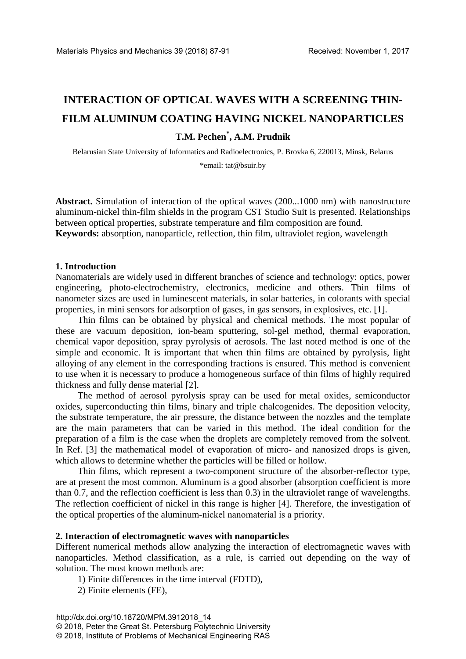# **INTERACTION OF OPTICAL WAVES WITH A SCREENING THIN-FILM ALUMINUM COATING HAVING NICKEL NANOPARTICLES T.M. Pechen\* , A.M. Prudnik**

Belarusian State University of Informatics and Radioelectronics, P. Brovka 6, 220013, Minsk, Belarus \*email: [tat@bsuir.by](mailto:tat@bsuir.by)

**Abstract.** Simulation of interaction of the optical waves (200...1000 nm) with nanostructure aluminum-nickel thin-film shields in the program CST Studio Suit is presented. Relationships between optical properties, substrate temperature and film composition are found. **Keywords:** absorption, nanoparticle, reflection, thin film, ultraviolet region, wavelength

#### **1. Introduction**

Nanomaterials are widely used in different branches of science and technology: optics, power engineering, photo-electrochemistry, electronics, medicine and others. Thin films of nanometer sizes are used in luminescent materials, in solar batteries, in [colorants](https://www.multitran.ru/c/M.exe?t=399439_1_2&s1=%EA%F0%E0%F1%E8%F2%E5%EB%FC) with special properties, in mini sensors for adsorption of gases, in gas sensors, in explosives, etc. [1].

Thin films can be obtained by physical and chemical methods. The most popular of these are vacuum deposition, ion-beam sputtering, sol-gel method, thermal evaporation, chemical vapor deposition, spray pyrolysis of aerosols. The last noted method is one of the simple and economic. It is important that when thin films are obtained by pyrolysis, light alloying of any element in the corresponding fractions is ensured. This method is convenient to use when it is necessary to produce a homogeneous surface of thin films of highly required thickness and fully dense material [2].

The method of aerosol pyrolysis spray can be used for metal oxides, semiconductor oxides, superconducting thin films, binary and triple chalcogenides. The deposition [velocity,](https://www.multitran.ru/c/M.exe?t=5792479_1_2&s1=%F1%EA%EE%F0%EE%F1%F2%FC%20%EE%F1%E0%E6%E4%E5%ED%E8%FF) the substrate temperature, the air pressure, the distance between the nozzles and the [template](https://www.multitran.ru/c/M.exe?t=5834839_1_2&s1=%EF%EE%E4%EB%EE%E6%EA%E0) are the main parameters that can be varied in this method. The ideal condition for the preparation of a film is the case when the droplets are completely removed from the solvent. In Ref. [3] the mathematical model of evaporation of micro- and nanosized drops is given, which allows to determine whether the particles will be filled or hollow.

Thin films, which represent a two-component structure of the absorber-reflector type, are at present the most common. Aluminum is a good absorber (absorption coefficient is more than 0.7, and the reflection coefficient is less than 0.3) in the ultraviolet range of wavelengths. The reflection coefficient of nickel in this range is higher [4]. Therefore, the investigation of the optical properties of the aluminum-nickel nanomaterial is а [priority.](https://www.multitran.ru/c/M.exe?t=7114081_1_2&s1=%E0%EA%F2%F3%E0%EB%FC%ED%E0%FF%20%E7%E0%E4%E0%F7%E0)

#### **2. Interaction of electromagnetic waves with nanoparticles**

Different numerical methods allow analyzing the interaction of electromagnetic waves with nanoparticles. Method classification, as a rule, is carried out depending on the way of solution. The most known methods are:

1) Finite differences in the time interval (FDTD),

2) Finite elements (FE),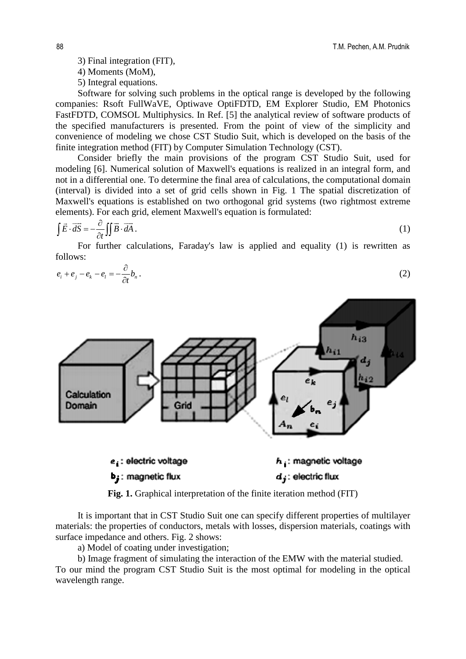4) Moments (MoM),

5) Integral equations.

Software for solving such problems in the optical range is developed by the following companies: Rsoft FullWaVE, Optiwave OptiFDTD, EM Explorer Studio, EM Photonics FastFDTD, COMSOL Multiphysics. In Ref. [5] the analytical review of software products of the specified manufacturers is presented. From the point of view of the simplicity and convenience of modeling we chose CST Studio Suit, which is developed on the basis of the finite integration method (FIT) by Computer Simulation Technology (CST).

Consider briefly the main provisions of the program CST Studio Suit, used for modeling [6]. Numerical solution of Maxwell's equations is realized in an integral form, and not in a differential one. To determine the final area of calculations, the computational domain (interval) is divided into a set of grid cells shown in Fig. 1 The spatial discretization of Maxwell's equations is established on two orthogonal grid systems (two rightmost extreme elements). For each grid, element Maxwell's equation is formulated:

$$
\int \vec{E} \cdot \vec{dS} = -\frac{\partial}{\partial t} \iint \vec{B} \cdot \vec{dA} \,. \tag{1}
$$

For further calculations, Faraday's law is applied and equality (1) is rewritten as follows:

$$
e_i + e_j - e_k - e_l = -\frac{\partial}{\partial t} b_n \,. \tag{2}
$$



**Fig. 1.** Graphical interpretation of the finite iteration method (FIT)

It is important that in CST Studio Suit one can specify different properties of multilayer materials: the properties of conductors, metals with losses, dispersion materials, coatings with surface impedance and others. Fig. 2 shows:

a) Model of coating under investigation;

b) Image fragment of simulating the interaction of the EMW with the material studied.

To our mind the program CST Studio Suit is the most optimal for modeling in the optical wavelength range.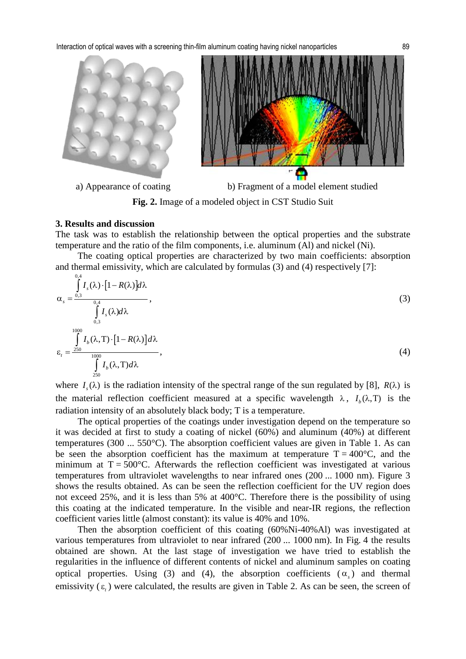

a) Appearance of coating b) Fragment of a model element studied

**Fig. 2.** Image of a modeled object in CST Studio Suit

#### **3. Results and discussion**

 $0<sub>4</sub>$ 

The task was to establish the relationship between the optical properties and the substrate temperature and the ratio of the film components, i.e. aluminum (Al) and nickel (Ni).

The coating optical properties are characterized by two main coefficients: absorption and thermal emissivity, which are calculated by formulas (3) and (4) respectively [7]:

$$
\alpha_{s} = \frac{\int_{0.3}^{0.4} I_{s}(\lambda) \cdot [1 - R(\lambda)] d\lambda}{\int_{0.3}^{0.4} I_{s}(\lambda) d\lambda},
$$
\n
$$
\epsilon_{t} = \frac{\int_{0.300}^{1000} I_{b}(\lambda, T) \cdot [1 - R(\lambda)] d\lambda}{\int_{0.300}^{1000} I_{b}(\lambda, T) d\lambda},
$$
\n(4)

where  $I_{\gamma}(\lambda)$  is the radiation intensity of the spectral range of the sun regulated by [8],  $R(\lambda)$  is the material reflection coefficient measured at a specific wavelength  $\lambda$ ,  $I_{\mu}(\lambda, T)$  is the radiation intensity of an absolutely black body; T is a temperature.

The optical properties of the coatings under investigation depend on the temperature so it was decided at first to study a coating of nickel (60%) and aluminum (40%) at different temperatures (300 ... 550°C). The absorption coefficient values are given in Table 1. As can be seen the absorption coefficient has the maximum at temperature  $T = 400^{\circ}C$ , and the minimum at  $T = 500^{\circ}$ C. Afterwards the reflection coefficient was investigated at various temperatures from ultraviolet wavelengths to near infrared ones (200 ... 1000 nm). Figure 3 shows the results obtained. As can be seen the reflection coefficient for the UV region does not exceed 25%, and it is less than 5% at 400°C. Therefore there is the possibility of using this coating at the indicated temperature. In the visible and near-IR regions, the reflection coefficient varies little (almost constant): its value is 40% and 10%.

Then the absorption coefficient of this coating (60%Ni-40%Al) was investigated at various temperatures from ultraviolet to near infrared (200 ... 1000 nm). In Fig. 4 the results obtained are shown. At the last stage of investigation we have tried to establish the regularities in the influence of different contents of nickel and aluminum samples on coating optical properties. Using (3) and (4), the absorption coefficients  $(\alpha_{s})$  and thermal emissivity  $(\varepsilon)$  were calculated, the results are given in Table 2. As can be seen, the screen of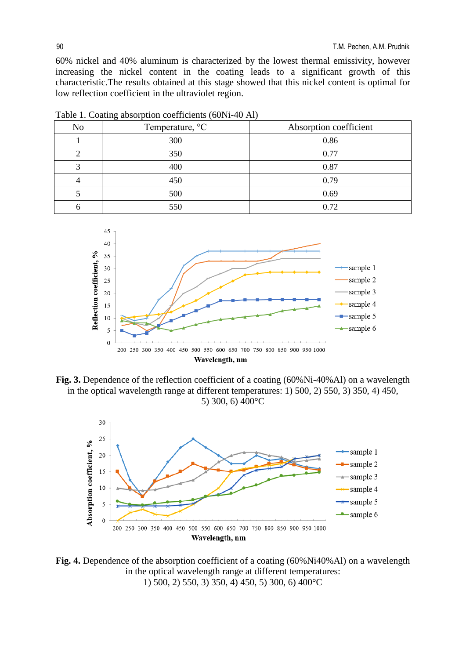60% nickel and 40% aluminum is characterized by the lowest thermal emissivity, however increasing the nickel content in the coating leads to a significant growth of this characteristic.The results obtained at this stage showed that this nickel content is optimal for low reflection coefficient in the ultraviolet region.

| ັ              |                 |                        |  |  |
|----------------|-----------------|------------------------|--|--|
| N <sub>o</sub> | Temperature, °C | Absorption coefficient |  |  |
|                | 300             | 0.86                   |  |  |
|                | 350             | 0.77                   |  |  |
|                | 400             | 0.87                   |  |  |
|                | 450             | 0.79                   |  |  |
|                | 500             | 0.69                   |  |  |
|                | 550             | 0.72                   |  |  |

Table 1. Coating absorption coefficients (60Ni-40 Al)



**Fig. 3.** Dependence of the reflection coefficient of a coating (60%Ni-40%Al) on a wavelength in the optical wavelength range at different temperatures: 1) 500, 2) 550, 3) 350, 4) 450, 5) 300, 6) 400°C



Fig. 4. Dependence of the absorption coefficient of a coating (60%Ni40%Al) on a wavelength in the optical wavelength range at different temperatures: 1) 500, 2) 550, 3) 350, 4) 450, 5) 300, 6) 400°C